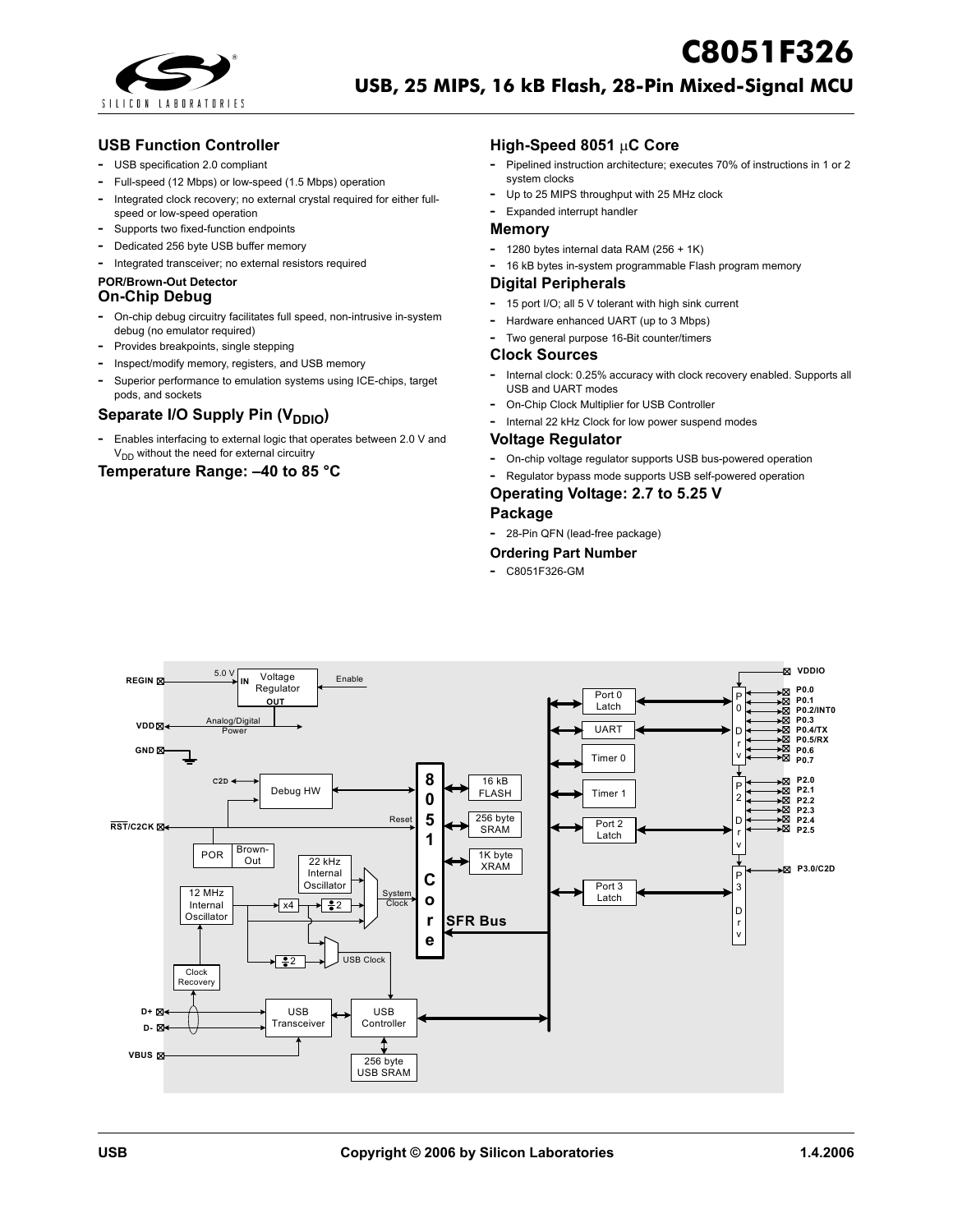

### **USB Function Controller**

- **-** USB specification 2.0 compliant
- **-** Full-speed (12 Mbps) or low-speed (1.5 Mbps) operation
- **-** Integrated clock recovery; no external crystal required for either fullspeed or low-speed operation
- **-** Supports two fixed-function endpoints
- **-** Dedicated 256 byte USB buffer memory
- **-** Integrated transceiver; no external resistors required

# **POR/Brown-Out Detector**

## **On-Chip Debug**

- **-** On-chip debug circuitry facilitates full speed, non-intrusive in-system debug (no emulator required)
- **-** Provides breakpoints, single stepping
- **-** Inspect/modify memory, registers, and USB memory
- **-** Superior performance to emulation systems using ICE-chips, target pods, and sockets

## **Separate I/O Supply Pin (V<sub>DDIO</sub>)**

**-** Enables interfacing to external logic that operates between 2.0 V and  $V<sub>DD</sub>$  without the need for external circuitry

### **Temperature Range: –40 to 85 °C**

### **High-Speed 8051** µ**C Core**

**-** Pipelined instruction architecture; executes 70% of instructions in 1 or 2 system clocks

**C8051F326** 

- **-** Up to 25 MIPS throughput with 25 MHz clock
- **-** Expanded interrupt handler

#### **Memory**

- **-** 1280 bytes internal data RAM (256 + 1K)
- **-** 16 kB bytes in-system programmable Flash program memory

#### **Digital Peripherals**

- **-** 15 port I/O; all 5 V tolerant with high sink current
- **-** Hardware enhanced UART (up to 3 Mbps)
- **-** Two general purpose 16-Bit counter/timers

#### **Clock Sources**

- **-** Internal clock: 0.25% accuracy with clock recovery enabled. Supports all USB and UART modes
- **-** On-Chip Clock Multiplier for USB Controller
- **-** Internal 22 kHz Clock for low power suspend modes

#### **Voltage Regulator**

- **-** On-chip voltage regulator supports USB bus-powered operation
- **-** Regulator bypass mode supports USB self-powered operation

### **Operating Voltage: 2.7 to 5.25 V**

### **Package**

**-** 28-Pin QFN (lead-free package)

#### **Ordering Part Number**

**-** C8051F326-GM